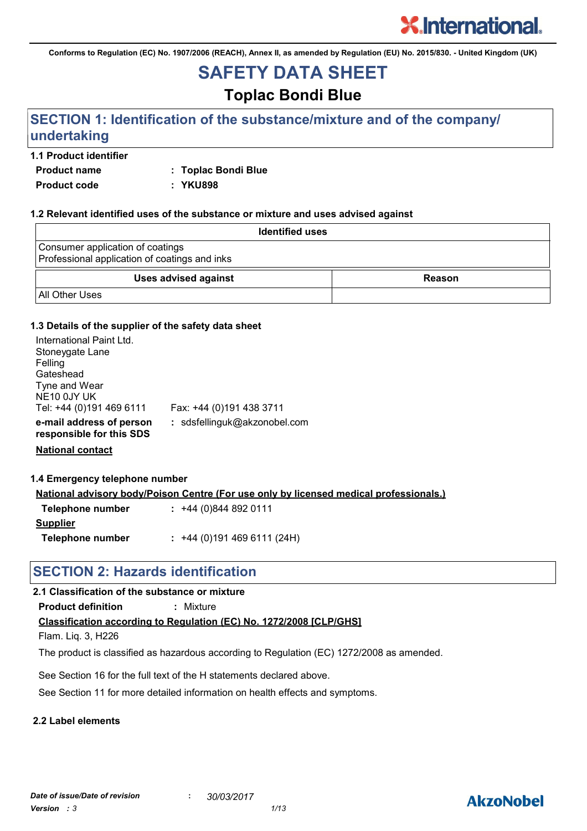**Conforms to Regulation (EC) No. 1907/2006 (REACH), Annex II, as amended by Regulation (EU) No. 2015/830. - United Kingdom (UK)**

## **SAFETY DATA SHEET**

## **Toplac Bondi Blue**

## **SECTION 1: Identification of the substance/mixture and of the company/ undertaking**

#### **1.1 Product identifier**

**Product name : Toplac Bondi Blue**

**Product code : YKU898**

#### **1.2 Relevant identified uses of the substance or mixture and uses advised against**

| <b>Identified uses</b>                                                            |        |
|-----------------------------------------------------------------------------------|--------|
| Consumer application of coatings<br>Professional application of coatings and inks |        |
| <b>Uses advised against</b>                                                       | Reason |
| <b>All Other Uses</b>                                                             |        |

#### **1.3 Details of the supplier of the safety data sheet**

| International Paint Ltd.<br>Stoneygate Lane<br>Felling<br>Gateshead<br>Tyne and Wear<br>NE <sub>10</sub> 0JY UK<br>Tel: +44 (0)191 469 6111 | Fax: +44 (0)191 438 3711     |
|---------------------------------------------------------------------------------------------------------------------------------------------|------------------------------|
| e-mail address of person<br>responsible for this SDS                                                                                        | : sdsfellinguk@akzonobel.com |
|                                                                                                                                             |                              |

**National contact**

#### **1.4 Emergency telephone number**

**National advisory body/Poison Centre (For use only by licensed medical professionals.)**

| Telephone number | $: +44(0)8448920111$      |
|------------------|---------------------------|
| <b>Supplier</b>  |                           |
| Telephone number | $: +44(0)1914696111(24H)$ |

### **SECTION 2: Hazards identification**

#### **2.1 Classification of the substance or mixture**

**Product definition :** Mixture

#### **Classification according to Regulation (EC) No. 1272/2008 [CLP/GHS]**

Flam. Liq. 3, H226

The product is classified as hazardous according to Regulation (EC) 1272/2008 as amended.

See Section 16 for the full text of the H statements declared above.

See Section 11 for more detailed information on health effects and symptoms.

#### **2.2 Label elements**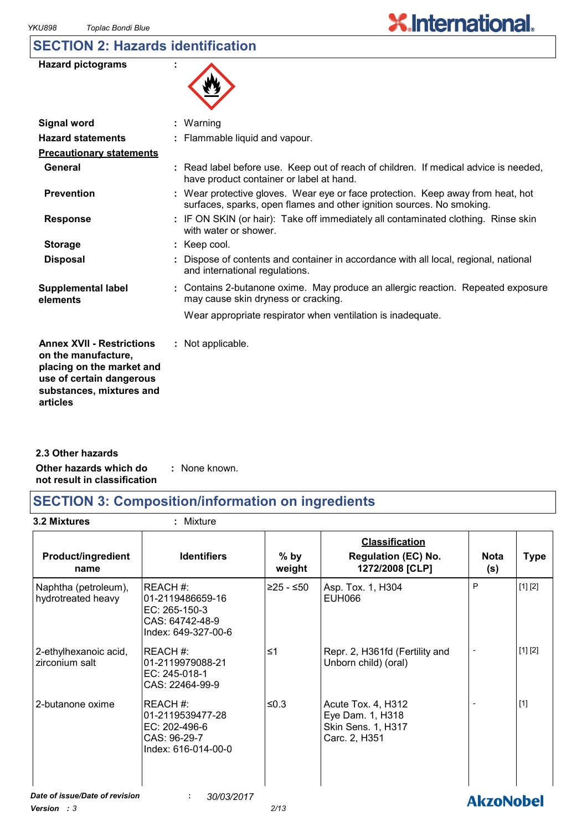## **SECTION 2: Hazards identification**

| <b>Hazard pictograms</b> |  |
|--------------------------|--|
|--------------------------|--|



| : Warning                                                                                                                                                |
|----------------------------------------------------------------------------------------------------------------------------------------------------------|
| : Flammable liquid and vapour.                                                                                                                           |
|                                                                                                                                                          |
| : Read label before use. Keep out of reach of children. If medical advice is needed,<br>have product container or label at hand.                         |
| : Wear protective gloves. Wear eye or face protection. Keep away from heat, hot<br>surfaces, sparks, open flames and other ignition sources. No smoking. |
| : IF ON SKIN (or hair): Take off immediately all contaminated clothing. Rinse skin<br>with water or shower.                                              |
| : Keep cool.                                                                                                                                             |
| : Dispose of contents and container in accordance with all local, regional, national<br>and international regulations.                                   |
| : Contains 2-butanone oxime. May produce an allergic reaction. Repeated exposure<br>may cause skin dryness or cracking.                                  |
| Wear appropriate respirator when ventilation is inadequate.                                                                                              |
| : Not applicable.                                                                                                                                        |
|                                                                                                                                                          |

**Other hazards which do : not result in classification** : None known. **2.3 Other hazards**

## **SECTION 3: Composition/information on ingredients**

**3.2 Mixtures :** Mixture

| <b>Product/ingredient</b><br>name          | <b>Identifiers</b>                                                                     | $%$ by<br>weight | <b>Classification</b><br><b>Regulation (EC) No.</b><br>1272/2008 [CLP]        | <b>Nota</b><br>(s) | <b>Type</b> |
|--------------------------------------------|----------------------------------------------------------------------------------------|------------------|-------------------------------------------------------------------------------|--------------------|-------------|
| Naphtha (petroleum),<br>hydrotreated heavy | REACH#:<br>01-2119486659-16<br>EC: 265-150-3<br>CAS: 64742-48-9<br>Index: 649-327-00-6 | $≥25 - ≤50$      | Asp. Tox. 1, H304<br><b>EUH066</b>                                            | P                  | [1] [2]     |
| 2-ethylhexanoic acid,<br>zirconium salt    | IREACH #:<br>01-2119979088-21<br>EC: 245-018-1<br>CAS: 22464-99-9                      | ≤1               | Repr. 2, H361fd (Fertility and<br>Unborn child) (oral)                        |                    | [1] [2]     |
| 2-butanone oxime                           | IREACH #:<br>01-2119539477-28<br>EC: 202-496-6<br>CAS: 96-29-7<br>Index: 616-014-00-0  | ≤0.3             | Acute Tox. 4, H312<br>Eye Dam. 1, H318<br>Skin Sens. 1, H317<br>Carc. 2, H351 |                    | $[1]$       |
| Date of issue/Date of revision             | 30/03/2017<br>÷                                                                        |                  |                                                                               | <b>AkzoNobel</b>   |             |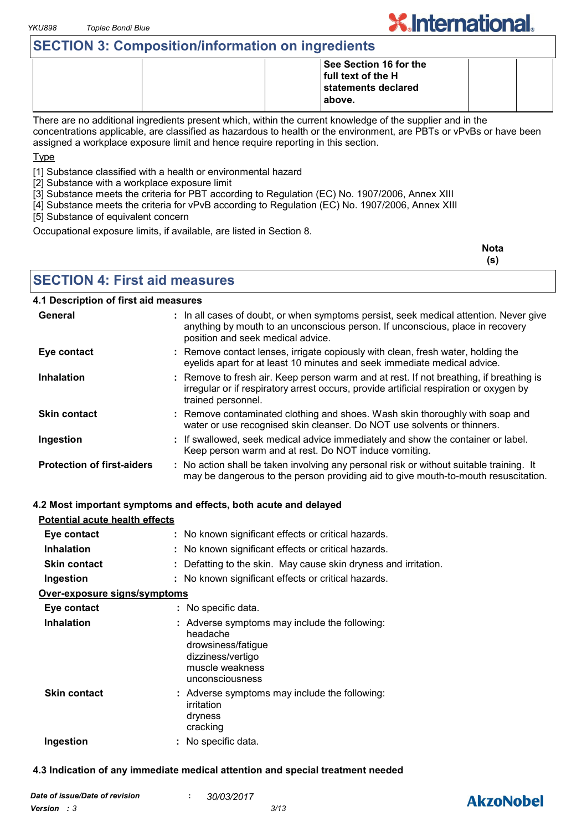## **SECTION 3: Composition/information on ingredients**

|  | See Section 16 for the |  |
|--|------------------------|--|
|  | full text of the H     |  |
|  | statements declared    |  |
|  | above.                 |  |
|  |                        |  |

There are no additional ingredients present which, within the current knowledge of the supplier and in the concentrations applicable, are classified as hazardous to health or the environment, are PBTs or vPvBs or have been assigned a workplace exposure limit and hence require reporting in this section.

Type

[1] Substance classified with a health or environmental hazard

[2] Substance with a workplace exposure limit

[3] Substance meets the criteria for PBT according to Regulation (EC) No. 1907/2006, Annex XIII

[4] Substance meets the criteria for vPvB according to Regulation (EC) No. 1907/2006, Annex XIII

[5] Substance of equivalent concern

Occupational exposure limits, if available, are listed in Section 8.

| <b>Nota</b> |
|-------------|
| (s)         |

**X.International.** 

**SECTION 4: First aid measures**

#### **4.1 Description of first aid measures**

| General                           | : In all cases of doubt, or when symptoms persist, seek medical attention. Never give<br>anything by mouth to an unconscious person. If unconscious, place in recovery<br>position and seek medical advice. |
|-----------------------------------|-------------------------------------------------------------------------------------------------------------------------------------------------------------------------------------------------------------|
| Eye contact                       | : Remove contact lenses, irrigate copiously with clean, fresh water, holding the<br>eyelids apart for at least 10 minutes and seek immediate medical advice.                                                |
| <b>Inhalation</b>                 | : Remove to fresh air. Keep person warm and at rest. If not breathing, if breathing is<br>irregular or if respiratory arrest occurs, provide artificial respiration or oxygen by<br>trained personnel.      |
| <b>Skin contact</b>               | : Remove contaminated clothing and shoes. Wash skin thoroughly with soap and<br>water or use recognised skin cleanser. Do NOT use solvents or thinners.                                                     |
| Ingestion                         | : If swallowed, seek medical advice immediately and show the container or label.<br>Keep person warm and at rest. Do NOT induce vomiting.                                                                   |
| <b>Protection of first-aiders</b> | : No action shall be taken involving any personal risk or without suitable training. It<br>may be dangerous to the person providing aid to give mouth-to-mouth resuscitation.                               |

#### **4.2 Most important symptoms and effects, both acute and delayed**

| Potential acute health effects |                                                                                                                                            |
|--------------------------------|--------------------------------------------------------------------------------------------------------------------------------------------|
| Eye contact                    | : No known significant effects or critical hazards.                                                                                        |
| <b>Inhalation</b>              | : No known significant effects or critical hazards.                                                                                        |
| <b>Skin contact</b>            | : Defatting to the skin. May cause skin dryness and irritation.                                                                            |
| Ingestion                      | : No known significant effects or critical hazards.                                                                                        |
| Over-exposure signs/symptoms   |                                                                                                                                            |
| Eye contact                    | : No specific data.                                                                                                                        |
| <b>Inhalation</b>              | : Adverse symptoms may include the following:<br>headache<br>drowsiness/fatigue<br>dizziness/vertigo<br>muscle weakness<br>unconsciousness |
| <b>Skin contact</b>            | : Adverse symptoms may include the following:<br>irritation<br>dryness<br>cracking                                                         |
| Ingestion                      | : No specific data.                                                                                                                        |

#### **4.3 Indication of any immediate medical attention and special treatment needed**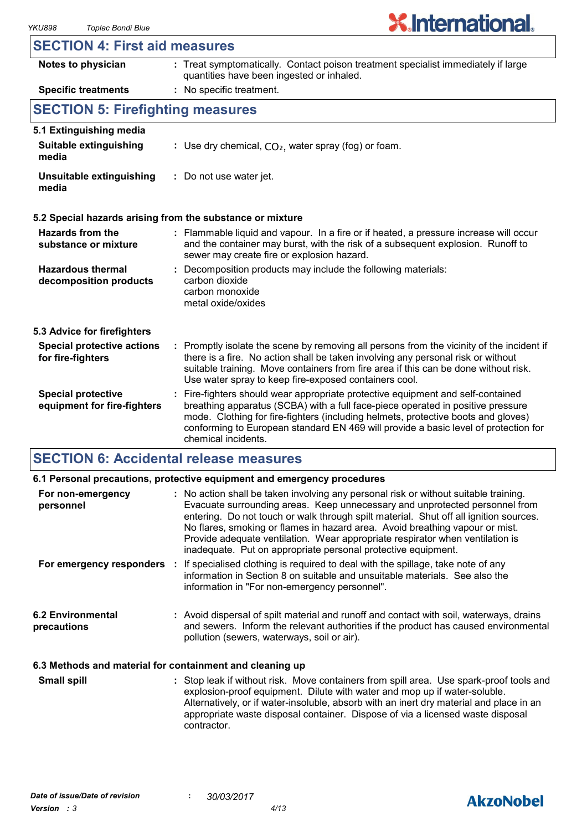#### **SECTION 4: First aid measures**

| Notes to physician                                       | : Treat symptomatically. Contact poison treatment specialist immediately if large<br>quantities have been ingested or inhaled.                                                                                                                                                                                                                                      |  |
|----------------------------------------------------------|---------------------------------------------------------------------------------------------------------------------------------------------------------------------------------------------------------------------------------------------------------------------------------------------------------------------------------------------------------------------|--|
| <b>Specific treatments</b>                               | : No specific treatment.                                                                                                                                                                                                                                                                                                                                            |  |
| <b>SECTION 5: Firefighting measures</b>                  |                                                                                                                                                                                                                                                                                                                                                                     |  |
| 5.1 Extinguishing media                                  |                                                                                                                                                                                                                                                                                                                                                                     |  |
| <b>Suitable extinguishing</b><br>media                   | : Use dry chemical, $CO2$ , water spray (fog) or foam.                                                                                                                                                                                                                                                                                                              |  |
| Unsuitable extinguishing<br>media                        | : Do not use water jet.                                                                                                                                                                                                                                                                                                                                             |  |
|                                                          | 5.2 Special hazards arising from the substance or mixture                                                                                                                                                                                                                                                                                                           |  |
| Hazards from the<br>substance or mixture                 | : Flammable liquid and vapour. In a fire or if heated, a pressure increase will occur<br>and the container may burst, with the risk of a subsequent explosion. Runoff to<br>sewer may create fire or explosion hazard.                                                                                                                                              |  |
| <b>Hazardous thermal</b><br>decomposition products       | : Decomposition products may include the following materials:<br>carbon dioxide<br>carbon monoxide<br>metal oxide/oxides                                                                                                                                                                                                                                            |  |
| 5.3 Advice for firefighters                              |                                                                                                                                                                                                                                                                                                                                                                     |  |
| <b>Special protective actions</b><br>for fire-fighters   | : Promptly isolate the scene by removing all persons from the vicinity of the incident if<br>there is a fire. No action shall be taken involving any personal risk or without<br>suitable training. Move containers from fire area if this can be done without risk.<br>Use water spray to keep fire-exposed containers cool.                                       |  |
| <b>Special protective</b><br>equipment for fire-fighters | Fire-fighters should wear appropriate protective equipment and self-contained<br>breathing apparatus (SCBA) with a full face-piece operated in positive pressure<br>mode. Clothing for fire-fighters (including helmets, protective boots and gloves)<br>conforming to European standard EN 469 will provide a basic level of protection for<br>chemical incidents. |  |

#### **SECTION 6: Accidental release measures**

|                                                          | 6.1 Personal precautions, protective equipment and emergency procedures                                                                                                                                                                                                                                                                                                                                                                                                                        |
|----------------------------------------------------------|------------------------------------------------------------------------------------------------------------------------------------------------------------------------------------------------------------------------------------------------------------------------------------------------------------------------------------------------------------------------------------------------------------------------------------------------------------------------------------------------|
| For non-emergency<br>personnel                           | : No action shall be taken involving any personal risk or without suitable training.<br>Evacuate surrounding areas. Keep unnecessary and unprotected personnel from<br>entering. Do not touch or walk through spilt material. Shut off all ignition sources.<br>No flares, smoking or flames in hazard area. Avoid breathing vapour or mist.<br>Provide adequate ventilation. Wear appropriate respirator when ventilation is<br>inadequate. Put on appropriate personal protective equipment. |
|                                                          | For emergency responders : If specialised clothing is required to deal with the spillage, take note of any<br>information in Section 8 on suitable and unsuitable materials. See also the<br>information in "For non-emergency personnel".                                                                                                                                                                                                                                                     |
| <b>6.2 Environmental</b><br>precautions                  | : Avoid dispersal of spilt material and runoff and contact with soil, waterways, drains<br>and sewers. Inform the relevant authorities if the product has caused environmental<br>pollution (sewers, waterways, soil or air).                                                                                                                                                                                                                                                                  |
| 6.3 Methods and material for containment and cleaning up |                                                                                                                                                                                                                                                                                                                                                                                                                                                                                                |

Stop leak if without risk. Move containers from spill area. Use spark-proof tools and explosion-proof equipment. Dilute with water and mop up if water-soluble. Alternatively, or if water-insoluble, absorb with an inert dry material and place in an appropriate waste disposal container. Dispose of via a licensed waste disposal contractor. **Small spill :**

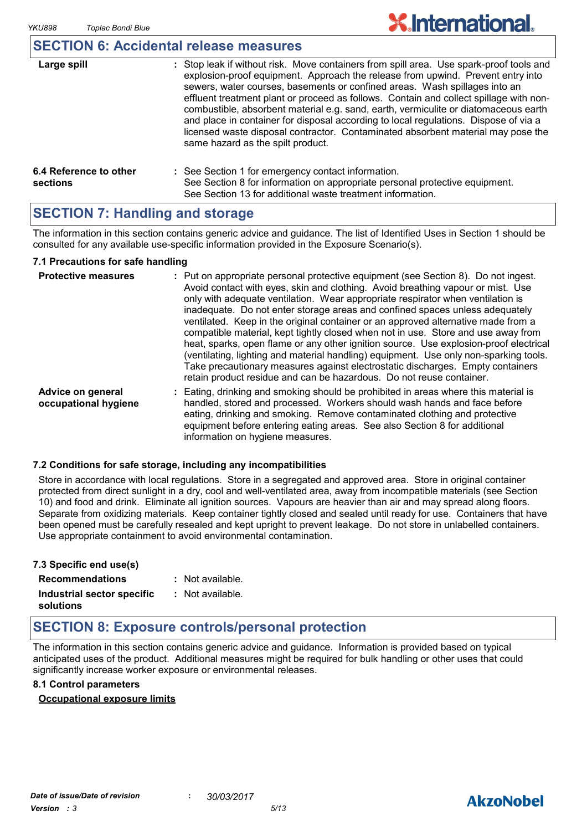## **SECTION 6: Accidental release measures**

| Large spill                        | : Stop leak if without risk. Move containers from spill area. Use spark-proof tools and<br>explosion-proof equipment. Approach the release from upwind. Prevent entry into<br>sewers, water courses, basements or confined areas. Wash spillages into an<br>effluent treatment plant or proceed as follows. Contain and collect spillage with non-<br>combustible, absorbent material e.g. sand, earth, vermiculite or diatomaceous earth<br>and place in container for disposal according to local regulations. Dispose of via a<br>licensed waste disposal contractor. Contaminated absorbent material may pose the<br>same hazard as the spilt product. |
|------------------------------------|------------------------------------------------------------------------------------------------------------------------------------------------------------------------------------------------------------------------------------------------------------------------------------------------------------------------------------------------------------------------------------------------------------------------------------------------------------------------------------------------------------------------------------------------------------------------------------------------------------------------------------------------------------|
| 6.4 Reference to other<br>sections | : See Section 1 for emergency contact information.<br>See Section 8 for information on appropriate personal protective equipment.<br>See Section 13 for additional waste treatment information.                                                                                                                                                                                                                                                                                                                                                                                                                                                            |

## **SECTION 7: Handling and storage**

The information in this section contains generic advice and guidance. The list of Identified Uses in Section 1 should be consulted for any available use-specific information provided in the Exposure Scenario(s).

#### **7.1 Precautions for safe handling**

| <b>Protective measures</b>                | : Put on appropriate personal protective equipment (see Section 8). Do not ingest.<br>Avoid contact with eyes, skin and clothing. Avoid breathing vapour or mist. Use<br>only with adequate ventilation. Wear appropriate respirator when ventilation is<br>inadequate. Do not enter storage areas and confined spaces unless adequately<br>ventilated. Keep in the original container or an approved alternative made from a<br>compatible material, kept tightly closed when not in use. Store and use away from<br>heat, sparks, open flame or any other ignition source. Use explosion-proof electrical<br>(ventilating, lighting and material handling) equipment. Use only non-sparking tools.<br>Take precautionary measures against electrostatic discharges. Empty containers<br>retain product residue and can be hazardous. Do not reuse container. |
|-------------------------------------------|----------------------------------------------------------------------------------------------------------------------------------------------------------------------------------------------------------------------------------------------------------------------------------------------------------------------------------------------------------------------------------------------------------------------------------------------------------------------------------------------------------------------------------------------------------------------------------------------------------------------------------------------------------------------------------------------------------------------------------------------------------------------------------------------------------------------------------------------------------------|
| Advice on general<br>occupational hygiene | : Eating, drinking and smoking should be prohibited in areas where this material is<br>handled, stored and processed. Workers should wash hands and face before<br>eating, drinking and smoking. Remove contaminated clothing and protective<br>equipment before entering eating areas. See also Section 8 for additional<br>information on hygiene measures.                                                                                                                                                                                                                                                                                                                                                                                                                                                                                                  |

#### **7.2 Conditions for safe storage, including any incompatibilities**

Store in accordance with local regulations. Store in a segregated and approved area. Store in original container protected from direct sunlight in a dry, cool and well-ventilated area, away from incompatible materials (see Section 10) and food and drink. Eliminate all ignition sources. Vapours are heavier than air and may spread along floors. Separate from oxidizing materials. Keep container tightly closed and sealed until ready for use. Containers that have been opened must be carefully resealed and kept upright to prevent leakage. Do not store in unlabelled containers. Use appropriate containment to avoid environmental contamination.

| 7.3 Specific end use(s)    |                  |
|----------------------------|------------------|
| <b>Recommendations</b>     | : Not available. |
| Industrial sector specific | : Not available. |
| solutions                  |                  |

## **SECTION 8: Exposure controls/personal protection**

The information in this section contains generic advice and guidance. Information is provided based on typical anticipated uses of the product. Additional measures might be required for bulk handling or other uses that could significantly increase worker exposure or environmental releases.

#### **8.1 Control parameters**

#### **Occupational exposure limits**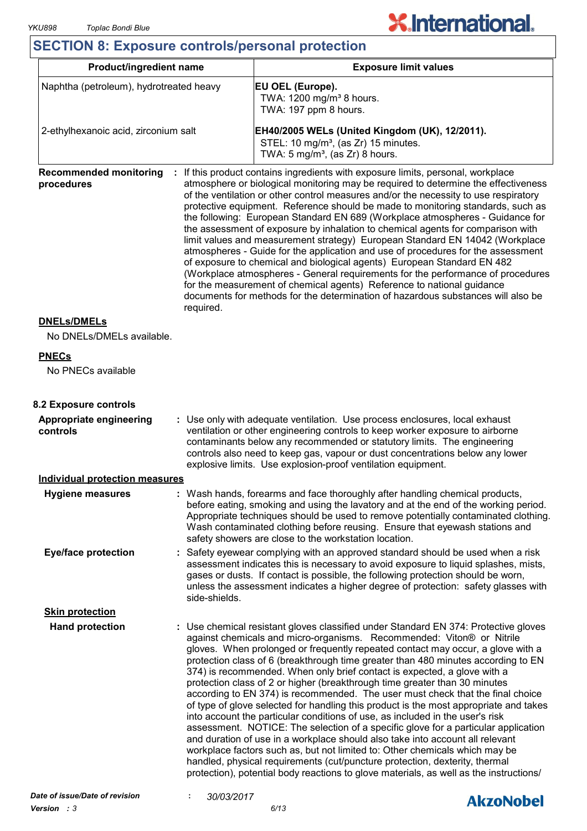# **X.International.**

## **SECTION 8: Exposure controls/personal protection**

| <b>Product/ingredient name</b>                                                                                                                                                                                                                                                                                                                                                                                                         |                                                                                                                                                                                                                                                                                                                                                                                                 | <b>Exposure limit values</b>                                                                                                                                                                                                                                                                                                                                                                                                                                                                                                                                                                                                                                                                                                                                                                                                                                                                                                                                                                                                                                                                                                                                                              |  |  |
|----------------------------------------------------------------------------------------------------------------------------------------------------------------------------------------------------------------------------------------------------------------------------------------------------------------------------------------------------------------------------------------------------------------------------------------|-------------------------------------------------------------------------------------------------------------------------------------------------------------------------------------------------------------------------------------------------------------------------------------------------------------------------------------------------------------------------------------------------|-------------------------------------------------------------------------------------------------------------------------------------------------------------------------------------------------------------------------------------------------------------------------------------------------------------------------------------------------------------------------------------------------------------------------------------------------------------------------------------------------------------------------------------------------------------------------------------------------------------------------------------------------------------------------------------------------------------------------------------------------------------------------------------------------------------------------------------------------------------------------------------------------------------------------------------------------------------------------------------------------------------------------------------------------------------------------------------------------------------------------------------------------------------------------------------------|--|--|
| Naphtha (petroleum), hydrotreated heavy                                                                                                                                                                                                                                                                                                                                                                                                |                                                                                                                                                                                                                                                                                                                                                                                                 | EU OEL (Europe).<br>TWA: 1200 mg/m <sup>3</sup> 8 hours.<br>TWA: 197 ppm 8 hours.                                                                                                                                                                                                                                                                                                                                                                                                                                                                                                                                                                                                                                                                                                                                                                                                                                                                                                                                                                                                                                                                                                         |  |  |
| 2-ethylhexanoic acid, zirconium salt                                                                                                                                                                                                                                                                                                                                                                                                   |                                                                                                                                                                                                                                                                                                                                                                                                 | EH40/2005 WELs (United Kingdom (UK), 12/2011).<br>STEL: 10 mg/m <sup>3</sup> , (as Zr) 15 minutes.<br>TWA: $5 \text{ mg/m}^3$ , (as Zr) 8 hours.                                                                                                                                                                                                                                                                                                                                                                                                                                                                                                                                                                                                                                                                                                                                                                                                                                                                                                                                                                                                                                          |  |  |
| <b>Recommended monitoring</b><br>procedures<br>required.                                                                                                                                                                                                                                                                                                                                                                               |                                                                                                                                                                                                                                                                                                                                                                                                 | If this product contains ingredients with exposure limits, personal, workplace<br>atmosphere or biological monitoring may be required to determine the effectiveness<br>of the ventilation or other control measures and/or the necessity to use respiratory<br>protective equipment. Reference should be made to monitoring standards, such as<br>the following: European Standard EN 689 (Workplace atmospheres - Guidance for<br>the assessment of exposure by inhalation to chemical agents for comparison with<br>limit values and measurement strategy) European Standard EN 14042 (Workplace<br>atmospheres - Guide for the application and use of procedures for the assessment<br>of exposure to chemical and biological agents) European Standard EN 482<br>(Workplace atmospheres - General requirements for the performance of procedures<br>for the measurement of chemical agents) Reference to national guidance<br>documents for methods for the determination of hazardous substances will also be                                                                                                                                                                       |  |  |
| <b>DNELs/DMELs</b><br>No DNELs/DMELs available.                                                                                                                                                                                                                                                                                                                                                                                        |                                                                                                                                                                                                                                                                                                                                                                                                 |                                                                                                                                                                                                                                                                                                                                                                                                                                                                                                                                                                                                                                                                                                                                                                                                                                                                                                                                                                                                                                                                                                                                                                                           |  |  |
| <b>PNECs</b>                                                                                                                                                                                                                                                                                                                                                                                                                           |                                                                                                                                                                                                                                                                                                                                                                                                 |                                                                                                                                                                                                                                                                                                                                                                                                                                                                                                                                                                                                                                                                                                                                                                                                                                                                                                                                                                                                                                                                                                                                                                                           |  |  |
| No PNECs available                                                                                                                                                                                                                                                                                                                                                                                                                     |                                                                                                                                                                                                                                                                                                                                                                                                 |                                                                                                                                                                                                                                                                                                                                                                                                                                                                                                                                                                                                                                                                                                                                                                                                                                                                                                                                                                                                                                                                                                                                                                                           |  |  |
| 8.2 Exposure controls                                                                                                                                                                                                                                                                                                                                                                                                                  |                                                                                                                                                                                                                                                                                                                                                                                                 |                                                                                                                                                                                                                                                                                                                                                                                                                                                                                                                                                                                                                                                                                                                                                                                                                                                                                                                                                                                                                                                                                                                                                                                           |  |  |
| : Use only with adequate ventilation. Use process enclosures, local exhaust<br><b>Appropriate engineering</b><br>ventilation or other engineering controls to keep worker exposure to airborne<br>controls<br>contaminants below any recommended or statutory limits. The engineering<br>controls also need to keep gas, vapour or dust concentrations below any lower<br>explosive limits. Use explosion-proof ventilation equipment. |                                                                                                                                                                                                                                                                                                                                                                                                 |                                                                                                                                                                                                                                                                                                                                                                                                                                                                                                                                                                                                                                                                                                                                                                                                                                                                                                                                                                                                                                                                                                                                                                                           |  |  |
| <b>Individual protection measures</b>                                                                                                                                                                                                                                                                                                                                                                                                  |                                                                                                                                                                                                                                                                                                                                                                                                 |                                                                                                                                                                                                                                                                                                                                                                                                                                                                                                                                                                                                                                                                                                                                                                                                                                                                                                                                                                                                                                                                                                                                                                                           |  |  |
| <b>Hygiene measures</b>                                                                                                                                                                                                                                                                                                                                                                                                                | Wash hands, forearms and face thoroughly after handling chemical products,<br>before eating, smoking and using the lavatory and at the end of the working period.<br>Appropriate techniques should be used to remove potentially contaminated clothing.<br>Wash contaminated clothing before reusing. Ensure that eyewash stations and<br>safety showers are close to the workstation location. |                                                                                                                                                                                                                                                                                                                                                                                                                                                                                                                                                                                                                                                                                                                                                                                                                                                                                                                                                                                                                                                                                                                                                                                           |  |  |
| <b>Eye/face protection</b>                                                                                                                                                                                                                                                                                                                                                                                                             | Safety eyewear complying with an approved standard should be used when a risk<br>assessment indicates this is necessary to avoid exposure to liquid splashes, mists,<br>gases or dusts. If contact is possible, the following protection should be worn,<br>unless the assessment indicates a higher degree of protection: safety glasses with<br>side-shields.                                 |                                                                                                                                                                                                                                                                                                                                                                                                                                                                                                                                                                                                                                                                                                                                                                                                                                                                                                                                                                                                                                                                                                                                                                                           |  |  |
| <b>Skin protection</b>                                                                                                                                                                                                                                                                                                                                                                                                                 |                                                                                                                                                                                                                                                                                                                                                                                                 |                                                                                                                                                                                                                                                                                                                                                                                                                                                                                                                                                                                                                                                                                                                                                                                                                                                                                                                                                                                                                                                                                                                                                                                           |  |  |
| <b>Hand protection</b>                                                                                                                                                                                                                                                                                                                                                                                                                 |                                                                                                                                                                                                                                                                                                                                                                                                 | : Use chemical resistant gloves classified under Standard EN 374: Protective gloves<br>against chemicals and micro-organisms. Recommended: Viton® or Nitrile<br>gloves. When prolonged or frequently repeated contact may occur, a glove with a<br>protection class of 6 (breakthrough time greater than 480 minutes according to EN<br>374) is recommended. When only brief contact is expected, a glove with a<br>protection class of 2 or higher (breakthrough time greater than 30 minutes<br>according to EN 374) is recommended. The user must check that the final choice<br>of type of glove selected for handling this product is the most appropriate and takes<br>into account the particular conditions of use, as included in the user's risk<br>assessment. NOTICE: The selection of a specific glove for a particular application<br>and duration of use in a workplace should also take into account all relevant<br>workplace factors such as, but not limited to: Other chemicals which may be<br>handled, physical requirements (cut/puncture protection, dexterity, thermal<br>protection), potential body reactions to glove materials, as well as the instructions/ |  |  |

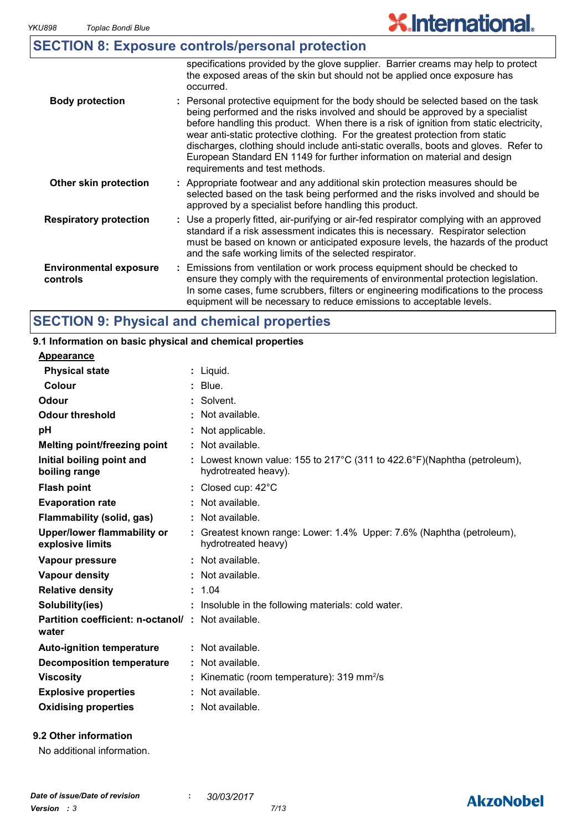## **X.International.**

|  | <b>SECTION 8: Exposure controls/personal protection</b> |  |  |
|--|---------------------------------------------------------|--|--|
|--|---------------------------------------------------------|--|--|

|                                                                                                                                                                                                                                                                                                                                                             | specifications provided by the glove supplier. Barrier creams may help to protect<br>the exposed areas of the skin but should not be applied once exposure has<br>occurred.                                                                                                                                                                                                                                                                                                                                                                          |
|-------------------------------------------------------------------------------------------------------------------------------------------------------------------------------------------------------------------------------------------------------------------------------------------------------------------------------------------------------------|------------------------------------------------------------------------------------------------------------------------------------------------------------------------------------------------------------------------------------------------------------------------------------------------------------------------------------------------------------------------------------------------------------------------------------------------------------------------------------------------------------------------------------------------------|
| <b>Body protection</b>                                                                                                                                                                                                                                                                                                                                      | : Personal protective equipment for the body should be selected based on the task<br>being performed and the risks involved and should be approved by a specialist<br>before handling this product. When there is a risk of ignition from static electricity,<br>wear anti-static protective clothing. For the greatest protection from static<br>discharges, clothing should include anti-static overalls, boots and gloves. Refer to<br>European Standard EN 1149 for further information on material and design<br>requirements and test methods. |
| Other skin protection                                                                                                                                                                                                                                                                                                                                       | : Appropriate footwear and any additional skin protection measures should be<br>selected based on the task being performed and the risks involved and should be<br>approved by a specialist before handling this product.                                                                                                                                                                                                                                                                                                                            |
| <b>Respiratory protection</b><br>: Use a properly fitted, air-purifying or air-fed respirator complying with an approved<br>standard if a risk assessment indicates this is necessary. Respirator selection<br>must be based on known or anticipated exposure levels, the hazards of the product<br>and the safe working limits of the selected respirator. |                                                                                                                                                                                                                                                                                                                                                                                                                                                                                                                                                      |
| <b>Environmental exposure</b><br>controls                                                                                                                                                                                                                                                                                                                   | : Emissions from ventilation or work process equipment should be checked to<br>ensure they comply with the requirements of environmental protection legislation.<br>In some cases, fume scrubbers, filters or engineering modifications to the process<br>equipment will be necessary to reduce emissions to acceptable levels.                                                                                                                                                                                                                      |

## **SECTION 9: Physical and chemical properties**

#### Liquid. **: Appearance** Lowest known value: 155 to 217°C (311 to 422.6°F)(Naphtha (petroleum), **:** hydrotreated heavy). **Physical state Melting point/freezing point Initial boiling point and boiling range Vapour pressure Relative density Vapour density Solubility(ies)** Not available. **:** 1.04 **:** Not available. **:** Not available. **: :** Insoluble in the following materials: cold water. **Odour** Solvent. **pH Colour** : Blue. **Evaporation rate Auto-ignition temperature Flash point** Not available. **:** Closed cup: 42°C **:** Greatest known range: Lower: 1.4% Upper: 7.6% (Naphtha (petroleum), **:** hydrotreated heavy) Not available. **: Partition coefficient: n-octanol/ : Not available.** Not applicable. **: Viscosity Kinematic (room temperature): 319 mm<sup>2</sup>/s Odour threshold water Upper/lower flammability or explosive limits Explosive properties** : Not available. **: Oxidising properties :** Not available. **9.1 Information on basic physical and chemical properties 9.2 Other information Decomposition temperature :** Not available. **Flammability (solid, gas) :** Not available.

No additional information.

## **AkzoNobel**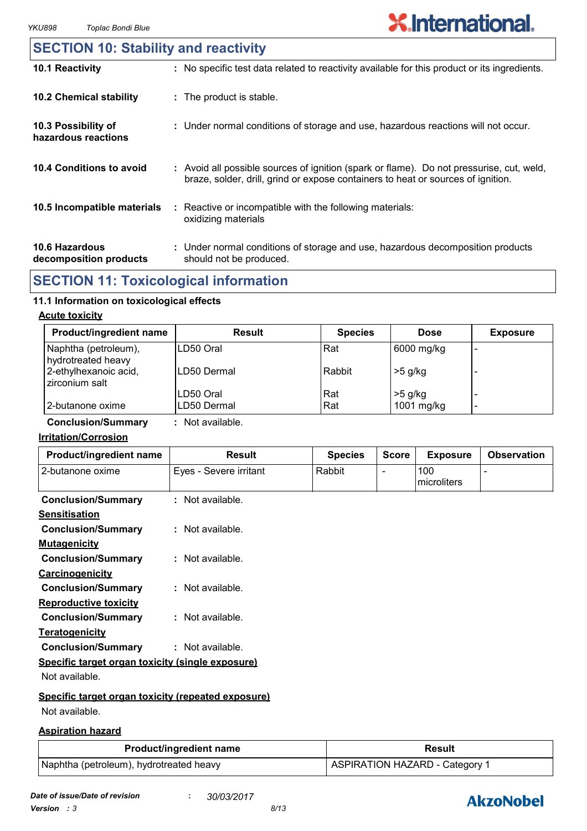### **10.6 Hazardous decomposition products 10.4 Conditions to avoid** : Avoid all possible sources of ignition (spark or flame). Do not pressurise, cut, weld, braze, solder, drill, grind or expose containers to heat or sources of ignition. Under normal conditions of storage and use, hazardous decomposition products **:** should not be produced. **10.2 Chemical stability** : Reactive or incompatible with the following materials: oxidizing materials **: 10.5 Incompatible materials : 10.3 Possibility of hazardous reactions :** Under normal conditions of storage and use, hazardous reactions will not occur. **SECTION 10: Stability and reactivity 10.1 Reactivity :** No specific test data related to reactivity available for this product or its ingredients.

## **SECTION 11: Toxicological information**

#### **11.1 Information on toxicological effects**

#### **Acute toxicity**

| <b>Product/ingredient name</b>             | Result      | <b>Species</b> | <b>Dose</b> | <b>Exposure</b> |
|--------------------------------------------|-------------|----------------|-------------|-----------------|
| Naphtha (petroleum),<br>hydrotreated heavy | ILD50 Oral  | Rat            | 6000 mg/kg  |                 |
| 2-ethylhexanoic acid,<br>zirconium salt    | LD50 Dermal | Rabbit         | $>5$ g/kg   |                 |
|                                            | LD50 Oral   | Rat            | $>5$ g/kg   |                 |
| 2-butanone oxime                           | LD50 Dermal | Rat            | 1001 mg/kg  | -               |

**Conclusion/Summary :** Not available.

#### **Irritation/Corrosion**

| Product/ingredient name                            | <b>Result</b>          | <b>Species</b> | <b>Score</b>   | <b>Exposure</b>    | <b>Observation</b> |
|----------------------------------------------------|------------------------|----------------|----------------|--------------------|--------------------|
| 2-butanone oxime                                   | Eyes - Severe irritant | Rabbit         | $\blacksquare$ | 100<br>microliters |                    |
| <b>Conclusion/Summary</b>                          | : Not available.       |                |                |                    |                    |
| <b>Sensitisation</b>                               |                        |                |                |                    |                    |
| <b>Conclusion/Summary</b>                          | $:$ Not available.     |                |                |                    |                    |
| <b>Mutagenicity</b>                                |                        |                |                |                    |                    |
| <b>Conclusion/Summary</b>                          | $:$ Not available.     |                |                |                    |                    |
| <b>Carcinogenicity</b>                             |                        |                |                |                    |                    |
| <b>Conclusion/Summary</b>                          | $:$ Not available.     |                |                |                    |                    |
| <b>Reproductive toxicity</b>                       |                        |                |                |                    |                    |
| <b>Conclusion/Summary</b>                          | $:$ Not available.     |                |                |                    |                    |
| <b>Teratogenicity</b>                              |                        |                |                |                    |                    |
| <b>Conclusion/Summary</b>                          | $:$ Not available.     |                |                |                    |                    |
| Specific target organ toxicity (single exposure)   |                        |                |                |                    |                    |
| Not available.                                     |                        |                |                |                    |                    |
| Specific target organ toxicity (repeated exposure) |                        |                |                |                    |                    |
| Not available.                                     |                        |                |                |                    |                    |

#### **Aspiration hazard**

| <b>Product/ingredient name</b>          | <b>Result</b>                  |  |  |
|-----------------------------------------|--------------------------------|--|--|
| Naphtha (petroleum), hydrotreated heavy | ASPIRATION HAZARD - Category 1 |  |  |

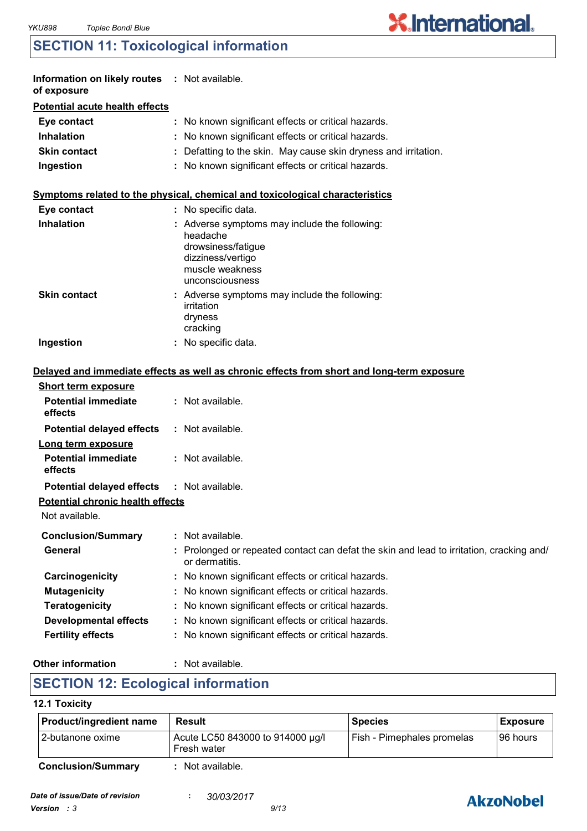## **SECTION 11: Toxicological information**

| Information on likely routes : Not available.<br>of exposure |                                                                                                                                          |
|--------------------------------------------------------------|------------------------------------------------------------------------------------------------------------------------------------------|
| <b>Potential acute health effects</b>                        |                                                                                                                                          |
| Eye contact                                                  | : No known significant effects or critical hazards.                                                                                      |
| <b>Inhalation</b>                                            | : No known significant effects or critical hazards.                                                                                      |
| <b>Skin contact</b>                                          | : Defatting to the skin. May cause skin dryness and irritation.                                                                          |
| Ingestion                                                    | : No known significant effects or critical hazards.                                                                                      |
|                                                              | Symptoms related to the physical, chemical and toxicological characteristics                                                             |
| Eye contact                                                  | : No specific data.                                                                                                                      |
| <b>Inhalation</b>                                            | Adverse symptoms may include the following:<br>headache<br>drowsiness/fatigue<br>dizziness/vertigo<br>muscle weakness<br>unconsciousness |
| <b>Skin contact</b>                                          | : Adverse symptoms may include the following:<br>irritation<br>dryness<br>cracking                                                       |
| Ingestion                                                    | : No specific data.                                                                                                                      |
|                                                              | Delayed and immediate effects as well as chronic effects from short and long-term exposure                                               |
| <b>Short term exposure</b>                                   |                                                                                                                                          |
| <b>Potential immediate</b><br>effects                        | : Not available.                                                                                                                         |
| <b>Potential delayed effects</b>                             | : Not available.                                                                                                                         |
| Long term exposure                                           |                                                                                                                                          |
| <b>Potential immediate</b><br>effects                        | : Not available.                                                                                                                         |
| <b>Potential delayed effects</b>                             | : Not available.                                                                                                                         |
| <b>Potential chronic health effects</b>                      |                                                                                                                                          |
| Not available.                                               |                                                                                                                                          |
| <b>Conclusion/Summary</b>                                    | : Not available.                                                                                                                         |
| <b>General</b>                                               | Prolonged or repeated contact can defat the skin and lead to irritation, cracking and/<br>or dermatitis.                                 |
| Carcinogenicity                                              | No known significant effects or critical hazards.                                                                                        |
| <b>Mutagenicity</b>                                          | No known significant effects or critical hazards.                                                                                        |
| <b>Teratogenicity</b>                                        | No known significant effects or critical hazards.                                                                                        |
| <b>Developmental effects</b>                                 | No known significant effects or critical hazards.                                                                                        |
| <b>Fertility effects</b>                                     | No known significant effects or critical hazards.                                                                                        |
|                                                              |                                                                                                                                          |

#### **Other information :**

: Not available.

## **SECTION 12: Ecological information**

#### **12.1 Toxicity**

| Product/ingredient name   | Result                                          | <b>Species</b>             | <b>Exposure</b> |
|---------------------------|-------------------------------------------------|----------------------------|-----------------|
| I 2-butanone oxime        | Acute LC50 843000 to 914000 µg/l<br>Fresh water | Fish - Pimephales promelas | 96 hours        |
| <b>Conclusion/Summary</b> | Not available.                                  |                            |                 |



**X.International.**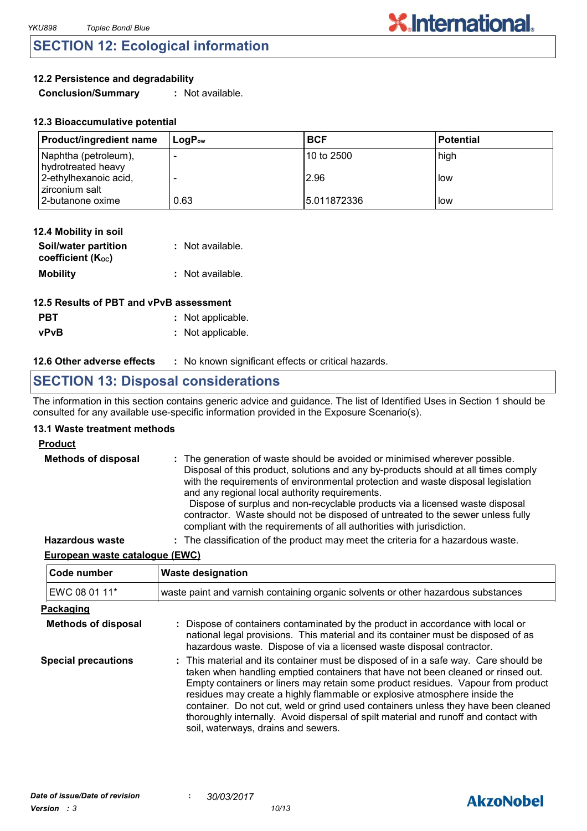## **SECTION 12: Ecological information**

#### **12.2 Persistence and degradability**

**Conclusion/Summary :** Not available.

| <b>Product/ingredient name</b>             | $\mathsf{Loa}\mathsf{P}_\mathsf{ow}$ | <b>BCF</b>  | l Potential |
|--------------------------------------------|--------------------------------------|-------------|-------------|
| Naphtha (petroleum),<br>hydrotreated heavy |                                      | 10 to 2500  | high        |
| 2-ethylhexanoic acid,<br>zirconium salt    |                                      | 2.96        | l low       |
| 2-butanone oxime                           | 0.63                                 | 5.011872336 | l low       |

**X.International.** 

| 12.4 Mobility in soil                     |                  |
|-------------------------------------------|------------------|
| Soil/water partition<br>coefficient (Koc) | : Not available. |
| <b>Mobility</b>                           | : Not available. |

| 12.5 Results of PBT and vPvB assessment |                   |  |  |
|-----------------------------------------|-------------------|--|--|
| <b>PBT</b>                              | : Not applicable. |  |  |
| <b>vPvB</b>                             | : Not applicable. |  |  |

#### **12.6 Other adverse effects** : No known significant effects or critical hazards.

## **SECTION 13: Disposal considerations**

The information in this section contains generic advice and guidance. The list of Identified Uses in Section 1 should be consulted for any available use-specific information provided in the Exposure Scenario(s).

#### **13.1 Waste treatment methods**

#### **Product**

| <b>Methods of disposal</b> | : The generation of waste should be avoided or minimised wherever possible.<br>Disposal of this product, solutions and any by-products should at all times comply<br>with the requirements of environmental protection and waste disposal legislation<br>and any regional local authority requirements.<br>Dispose of surplus and non-recyclable products via a licensed waste disposal<br>contractor. Waste should not be disposed of untreated to the sewer unless fully<br>compliant with the requirements of all authorities with jurisdiction. |
|----------------------------|-----------------------------------------------------------------------------------------------------------------------------------------------------------------------------------------------------------------------------------------------------------------------------------------------------------------------------------------------------------------------------------------------------------------------------------------------------------------------------------------------------------------------------------------------------|
| <b>Hazardous waste</b>     | : The classification of the product may meet the criteria for a hazardous waste.                                                                                                                                                                                                                                                                                                                                                                                                                                                                    |

#### **European waste catalogue (EWC)**

| Code number                | <b>Waste designation</b>                                                                                                                                                                                                                                                                                                                                                                                                                                                                                                                                      |
|----------------------------|---------------------------------------------------------------------------------------------------------------------------------------------------------------------------------------------------------------------------------------------------------------------------------------------------------------------------------------------------------------------------------------------------------------------------------------------------------------------------------------------------------------------------------------------------------------|
| EWC 08 01 11*              | waste paint and varnish containing organic solvents or other hazardous substances                                                                                                                                                                                                                                                                                                                                                                                                                                                                             |
| Packaging                  |                                                                                                                                                                                                                                                                                                                                                                                                                                                                                                                                                               |
| <b>Methods of disposal</b> | : Dispose of containers contaminated by the product in accordance with local or<br>national legal provisions. This material and its container must be disposed of as<br>hazardous waste. Dispose of via a licensed waste disposal contractor.                                                                                                                                                                                                                                                                                                                 |
| <b>Special precautions</b> | : This material and its container must be disposed of in a safe way. Care should be<br>taken when handling emptied containers that have not been cleaned or rinsed out.<br>Empty containers or liners may retain some product residues. Vapour from product<br>residues may create a highly flammable or explosive atmosphere inside the<br>container. Do not cut, weld or grind used containers unless they have been cleaned<br>thoroughly internally. Avoid dispersal of spilt material and runoff and contact with<br>soil, waterways, drains and sewers. |

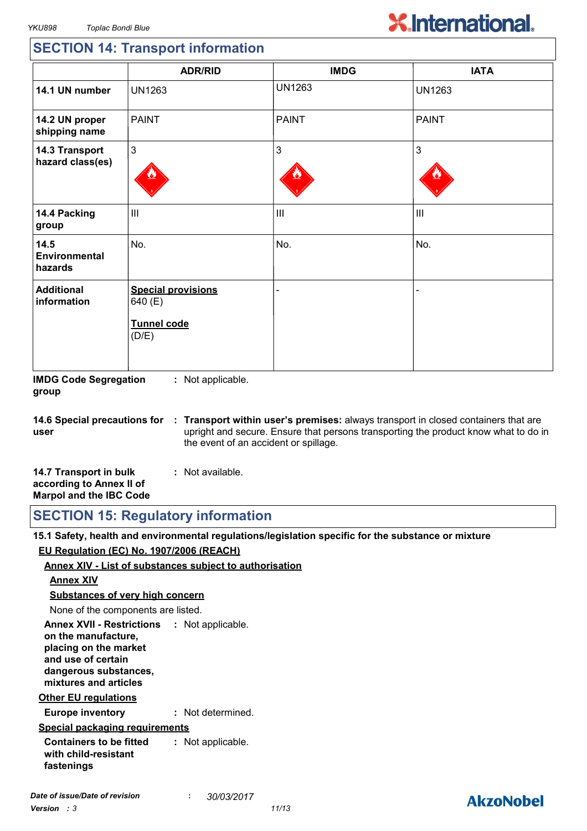# **X.International.**

## **SECTION 14: Transport information**

|                                         | <b>ADR/RID</b>                                                      | <b>IMDG</b>    | <b>IATA</b>    |
|-----------------------------------------|---------------------------------------------------------------------|----------------|----------------|
| 14.1 UN number                          | <b>UN1263</b>                                                       | <b>UN1263</b>  | <b>UN1263</b>  |
| 14.2 UN proper<br>shipping name         | <b>PAINT</b>                                                        | <b>PAINT</b>   | <b>PAINT</b>   |
| 14.3 Transport<br>hazard class(es)      | $\mathbf{3}$                                                        | $\mathfrak{S}$ | 3              |
| 14.4 Packing<br>group                   | $\mathop{\rm III}$                                                  | $\mathbf{III}$ | $\mathbf{III}$ |
| 14.5<br><b>Environmental</b><br>hazards | No.                                                                 | No.            | No.            |
| <b>Additional</b><br>information        | <b>Special provisions</b><br>640 (E)<br><b>Tunnel code</b><br>(D/E) |                |                |

**IMDG Code Segregation group :** Not applicable.

**14.6 Special precautions for user Transport within user's premises:** always transport in closed containers that are **:** upright and secure. Ensure that persons transporting the product know what to do in the event of an accident or spillage.

| 14.7 Transport in bulk         | : Not available. |  |
|--------------------------------|------------------|--|
| according to Annex II of       |                  |  |
| <b>Marpol and the IBC Code</b> |                  |  |

**SECTION 15: Regulatory information**

**15.1 Safety, health and environmental regulations/legislation specific for the substance or mixture EU Regulation (EC) No. 1907/2006 (REACH)**

#### **Annex XIV - List of substances subject to authorisation**

#### **Annex XIV**

**Substances of very high concern**

None of the components are listed.

**Annex XVII - Restrictions : Not applicable. on the manufacture, placing on the market and use of certain dangerous substances, mixtures and articles**

#### **Other EU regulations**

**Europe inventory :** Not determined.

#### **Special packaging requirements**

**Containers to be fitted with child-resistant fastenings :** Not applicable.

## **AkzoNobel**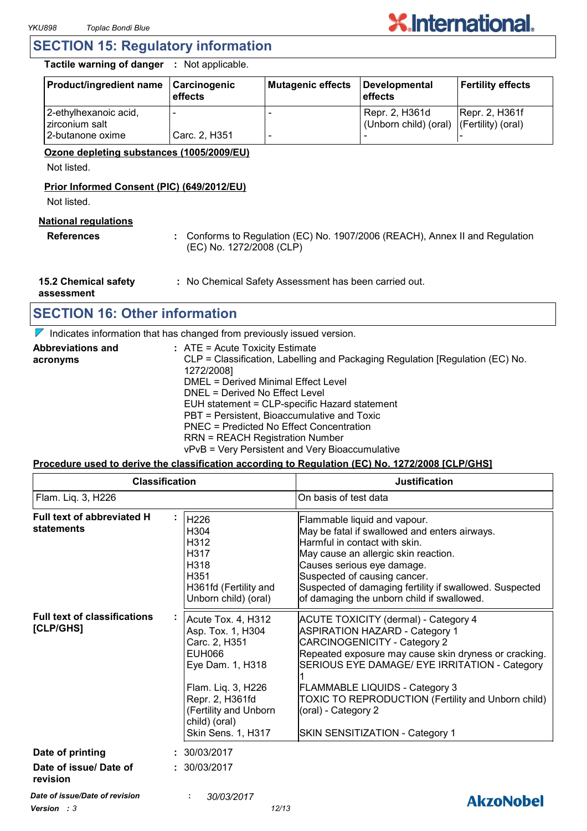

### **SECTION 15: Regulatory information**

**Tactile warning of danger :** Not applicable.

| <b>Product/ingredient name</b>          | <b>Carcinogenic</b><br>effects | Mutagenic effects | Developmental<br>l effects                                 | <b>Fertility effects</b> |
|-----------------------------------------|--------------------------------|-------------------|------------------------------------------------------------|--------------------------|
| 2-ethylhexanoic acid,<br>zirconium salt |                                |                   | Repr. 2, H361d<br>(Unborn child) (oral) (Fertility) (oral) | Repr. 2, H361f           |
| 2-butanone oxime                        | Carc. 2, H351                  |                   |                                                            |                          |

#### **Ozone depleting substances (1005/2009/EU)**

Not listed.

#### **Prior Informed Consent (PIC) (649/2012/EU)**

Not listed.

#### **National regulations**

**References :** Conforms to Regulation (EC) No. 1907/2006 (REACH), Annex II and Regulation (EC) No. 1272/2008 (CLP)

**15.2 Chemical safety :** No Chemical Safety Assessment has been carried out.

**assessment**

## **SECTION 16: Other information**

 $\nabla$  Indicates information that has changed from previously issued version.

| <b>Abbreviations and</b> | : ATE = Acute Toxicity Estimate                                               |
|--------------------------|-------------------------------------------------------------------------------|
| acronyms                 | CLP = Classification, Labelling and Packaging Regulation [Regulation (EC) No. |
|                          | 1272/2008]                                                                    |
|                          | <b>DMEL = Derived Minimal Effect Level</b>                                    |
|                          | DNEL = Derived No Effect Level                                                |
|                          | EUH statement = CLP-specific Hazard statement                                 |
|                          | PBT = Persistent, Bioaccumulative and Toxic                                   |
|                          | PNEC = Predicted No Effect Concentration                                      |
|                          | <b>RRN = REACH Registration Number</b>                                        |
|                          | vPvB = Very Persistent and Very Bioaccumulative                               |

#### **Procedure used to derive the classification according to Regulation (EC) No. 1272/2008 [CLP/GHS]**

| <b>Classification</b>                                  |                                                                                                                                                                                                        | <b>Justification</b>                                                                                                                                                                                                                                                                                                                                                                    |  |
|--------------------------------------------------------|--------------------------------------------------------------------------------------------------------------------------------------------------------------------------------------------------------|-----------------------------------------------------------------------------------------------------------------------------------------------------------------------------------------------------------------------------------------------------------------------------------------------------------------------------------------------------------------------------------------|--|
| Flam. Liq. 3, H226                                     |                                                                                                                                                                                                        | On basis of test data                                                                                                                                                                                                                                                                                                                                                                   |  |
| Full text of abbreviated H<br>statements               | H <sub>226</sub><br>H304<br>H312<br>H317<br>H318<br>H351<br>H361fd (Fertility and<br>Unborn child) (oral)                                                                                              | Flammable liquid and vapour.<br>May be fatal if swallowed and enters airways.<br>Harmful in contact with skin.<br>May cause an allergic skin reaction.<br>Causes serious eye damage.<br>Suspected of causing cancer.<br>Suspected of damaging fertility if swallowed. Suspected<br>of damaging the unborn child if swallowed.                                                           |  |
| <b>Full text of classifications</b><br>[CLP/GHS]       | Acute Tox. 4, H312<br>Asp. Tox. 1, H304<br>Carc. 2, H351<br><b>EUH066</b><br>Eye Dam. 1, H318<br>Flam. Liq. 3, H226<br>Repr. 2, H361fd<br>(Fertility and Unborn<br>child) (oral)<br>Skin Sens. 1, H317 | <b>ACUTE TOXICITY (dermal) - Category 4</b><br><b>ASPIRATION HAZARD - Category 1</b><br><b>CARCINOGENICITY - Category 2</b><br>Repeated exposure may cause skin dryness or cracking.<br>SERIOUS EYE DAMAGE/ EYE IRRITATION - Category<br>FLAMMABLE LIQUIDS - Category 3<br>TOXIC TO REPRODUCTION (Fertility and Unborn child)<br>(oral) - Category 2<br>SKIN SENSITIZATION - Category 1 |  |
| Date of printing<br>Date of issue/ Date of<br>revision | : 30/03/2017<br>: 30/03/2017                                                                                                                                                                           |                                                                                                                                                                                                                                                                                                                                                                                         |  |
| Date of issue/Date of revision<br>Version : 3          | 30/03/2017<br>12/13                                                                                                                                                                                    | <b>AkzoNobel</b>                                                                                                                                                                                                                                                                                                                                                                        |  |